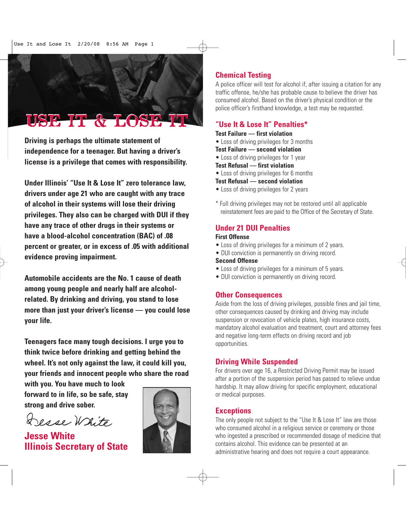# USE IT & LOSE IT

**Driving is perhaps the ultimate statement of independence for a teenager. But having a driver's license is a privilege that comes with responsibility.**

**Under Illinois' "Use It & Lose It" zero tolerance law, drivers under age 21 who are caught with any trace of alcohol in their systems will lose their driving privileges. They also can be charged with DUI if they have any trace of other drugs in their systems or have a blood-alcohol concentration (BAC) of .08 percent or greater, or in excess of .05 with additional evidence proving impairment.**

**Automobile accidents are the No. 1 cause of death among young people and nearly half are alcoholrelated. By drinking and driving, you stand to lose more than just your driver's license — you could lose your life.** 

**Teenagers face many tough decisions. I urge you to think twice before drinking and getting behind the wheel. It's not only against the law, it could kill you, your friends and innocent people who share the road**

**with you. You have much to look forward to in life, so be safe, stay strong and drive sober.**

Desse White

**Jesse White Illinois Secretary of State**



# **Chemical Testing**

A police officer will test for alcohol if, after issuing a citation for any traffic offense, he/she has probable cause to believe the driver has consumed alcohol. Based on the driver's physical condition or the police officer's firsthand knowledge, a test may be requested.

## **"Use It & Lose It" Penalties\***

#### **Test Failure — first violation**

• Loss of driving privileges for 3 months

## **Test Failure — second violation**

• Loss of driving privileges for 1 year

## **Test Refusal — first violation**

• Loss of driving privileges for 6 months

#### **Test Refusal — second violation**

- Loss of driving privileges for 2 years
- \* Full driving privileges may not be restored until all applicable reinstatement fees are paid to the Office of the Secretary of State.

# **Under 21 DUI Penalties**

## **First Offense**

- Loss of driving privileges for a minimum of 2 years.
- DUI conviction is permanently on driving record.

## **Second Offense**

- Loss of driving privileges for a minimum of 5 years.
- DUI conviction is permanently on driving record.

# **Other Consequences**

Aside from the loss of driving privileges, possible fines and jail time, other consequences caused by drinking and driving may include suspension or revocation of vehicle plates, high insurance costs, mandatory alcohol evaluation and treatment, court and attorney fees and negative long-term effects on driving record and job opportunities.

# **Driving While Suspended**

For drivers over age 16, a Restricted Driving Permit may be issued after a portion of the suspension period has passed to relieve undue hardship. It may allow driving for specific employment, educational or medical purposes.

## **Exceptions**

The only people not subject to the "Use It & Lose It" law are those who consumed alcohol in a religious service or ceremony or those who ingested a prescribed or recommended dosage of medicine that contains alcohol. This evidence can be presented at an administrative hearing and does not require a court appearance.